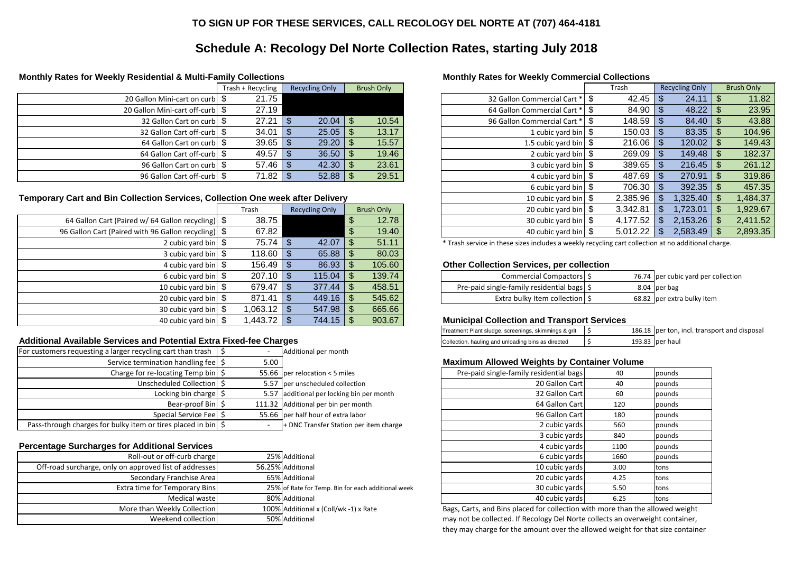# **Monthly Rates for Weekly Commercial Collections**

|                                                                    | Trash + Recycling | <b>Recycling Only</b>  | <b>Brush Only</b>           |                                  | Trash           | <b>Recycling Only</b> | <b>Brush Only</b>          |
|--------------------------------------------------------------------|-------------------|------------------------|-----------------------------|----------------------------------|-----------------|-----------------------|----------------------------|
| 20 Gallon Mini-cart on curb \ \ \ \ \                              | 21.75             |                        |                             | 32 Gallon Commercial Cart *      | 42.45           | 24.11                 | 11.82                      |
| 20 Gallon Mini-cart off-curb \\$                                   | 27.19             |                        |                             | 64 Gallon Commercial Cart *   \$ | $84.90$ \ \$    | 48.22                 | 23.95                      |
| 32 Gallon Cart on curb   \$                                        | 27.21             | 20.04<br>$\mathcal{S}$ | $\mathcal{S}$<br>10.54      | 96 Gallon Commercial Cart *      |                 | 84.40                 | 43.88                      |
| 32 Gallon Cart off-curb   \$                                       | 34.01             | 25.05<br>$\mathcal{S}$ | 13.17                       | 1 cubic yard bin $\frac{1}{2}$   | $150.03$   \$   | 83.35                 | 104.96                     |
| 64 Gallon Cart on curb   \$                                        | 39.65             | 29.20<br>$\mathcal{S}$ | 15.57                       | 1.5 cubic yard bin $\frac{6}{3}$ |                 | 120.02                | 149.43                     |
| 64 Gallon Cart off-curb \\$                                        | 49.57             | 36.50<br>-S            | 19.46                       | 2 cubic yard bin $\frac{1}{2}$   | 269.09          | 149.48                | 182.37<br><b>S</b>         |
| 96 Gallon Cart on curb   \$                                        | 57.46             | 42.30<br>$\mathcal{S}$ | 23.61                       | 3 cubic yard bin $\frac{1}{2}$   |                 | 216.45                | 261.12                     |
| 96 Gallon Cart off-curb   \$                                       | 71.82             | 52.88<br>$\mathcal{S}$ | 29.51                       | 4 cubic yard bin $\frac{1}{2}$   | 487.69          | 270.91                | 319.86<br><b>S</b>         |
|                                                                    |                   |                        |                             | 6 cubic yard bin $\frac{1}{2}$   | $706.30$ \ \ \$ | 392.35                | 457.35<br>් ති             |
| Collection Services, Collection One week after Delivery            |                   |                        |                             | 10 cubic yard bin $\frac{1}{2}$  | 2,385.96        | ا 325.40.             | ් ති<br>1,484.37           |
|                                                                    | Trash             | <b>Recycling Only</b>  | <b>Brush Only</b>           | 20 cubic yard bin $\sqrt{S}$     | 3,342.81        | 1,723.01              | 1,929.67<br><b>S</b>       |
| $\left  \right $ ariform in the Gallon recycling) $\left  \right $ | 38.75             |                        | 12.78                       | 30 cubic yard bin $\frac{1}{2}$  | 4,177.52        | 2,153.26              | $\mathfrak{F}$<br>2,411.52 |
| ed with 96 Gallon recycling) $\$\$                                 | 67.82             |                        | 19.40                       | 40 cubic yard bin $\frac{1}{2}$  | 5,012.22        | 2,583.49              | ් ති<br>2,893.35           |
|                                                                    | $7 - 74$          | $\uparrow$<br>10.07    | $\uparrow$<br>$T^2$ $A$ $A$ |                                  |                 |                       |                            |

#### **Other Collection Services, per collection**

|                                                      | Trash                  | <b>Recycling Only</b> | <b>Brush Only</b> | 20 cubic yard bin $\frac{1}{2}$                                                                     | 3,342.81 | 1,723.01   \$                       | 929.67,  |
|------------------------------------------------------|------------------------|-----------------------|-------------------|-----------------------------------------------------------------------------------------------------|----------|-------------------------------------|----------|
| 64 Gallon Cart (Paired w/ 64 Gallon recycling) \\$   | 38.75                  |                       | 12.78             | 30 cubic yard bin $\$\$                                                                             | 4,177.52 | $2,153.26$   \$                     | 2,411.52 |
| 96 Gallon Cart (Paired with 96 Gallon recycling) \\$ | 67.82                  |                       | 19.40             | 40 cubic yard bin $\$\$                                                                             | 5,012.22 |                                     | 2,893.35 |
| 2 cubic yard bin $\sqrt{S}$                          |                        |                       | 51.11             | * Trash service in these sizes includes a weekly recycling cart collection at no additional charge. |          |                                     |          |
| 3 cubic yard bin $\frac{1}{2}$                       | $118.60$   \$          |                       | 80.03             |                                                                                                     |          |                                     |          |
| 4 cubic yard bin $\frac{1}{2}$                       |                        |                       | 105.60            | <b>Other Collection Services, per collection</b>                                                    |          |                                     |          |
| 6 cubic yard bin $\frac{6}{3}$                       |                        | $115.04$   \$         | 139.74            | Commercial Compactors \$                                                                            |          | 76.74 per cubic yard per collection |          |
| 10 cubic yard bin $\frac{1}{2}$                      | $679.47$ $\frac{8}{3}$ |                       | 458.51            | Pre-paid single-family residential bags \$                                                          |          | 8.04 $per$ bag                      |          |
| 20 cubic yard bin $\frac{1}{2}$                      |                        |                       | 545.62            | Extra bulky Item collection \$                                                                      |          | 68.82 per extra bulky item          |          |
| 30 cubic yard bin $\frac{1}{2}$                      |                        |                       | 665.66            |                                                                                                     |          |                                     |          |
| 40 cubic yard bin $\frac{1}{2}$                      | 1,443.72   \$          |                       | 903.67            | <b>Municipal Collection and Transport Services</b>                                                  |          |                                     |          |

## **Additional Available Services and Potential Extra Fixed-fee Charges**

| 6 cubic yard bin $\vert$ $\vert$ | 207.10     |            | 15.04      | $\bigcap$     | 139.74 | Commercial Compactors                   | 76.74 per cubic yard per collection |
|----------------------------------|------------|------------|------------|---------------|--------|-----------------------------------------|-------------------------------------|
| 10 cubic yard bin                | 679.47     | $\sqrt{2}$ | 277<br>.44 | $\mathcal{L}$ | 458.51 | Pre-paid single-family residential bags | 8.04 $ per$ bag                     |
| 20 cubic yard bin                | 871<br>.41 | $\sqrt{2}$ | 449.16丨    |               | 545.62 | Extra bulky Item collection             | 68.82 per extra bulky item          |

## **Municipal Collection and Transport Services**

Bags, Carts, and Bins placed for collection with more than the allowed weight may not be collected. If Recology Del Norte collects an overweight container, they may charge for the amount over the allowed weight for that size container

| Treatment Plant sludge, screenings, skimmings & grit |  | 186.18 per ton, incl. transport and disposal |
|------------------------------------------------------|--|----------------------------------------------|
| Collection, hauling and unloading bins as directed   |  | 193.83 $ per$ haul                           |

## **Maximum Allowed Weights by Container Volume**

| For customers requesting a larger recycling cart than trash $\parallel$  |        | Additional per month                      |                                                    |     |        |
|--------------------------------------------------------------------------|--------|-------------------------------------------|----------------------------------------------------|-----|--------|
| Service termination handling fee                                         | $5.00$ |                                           | <b>Maximum Allowed Weights by Container Volume</b> |     |        |
| Charge for re-locating Temp bin $\frac{1}{5}$                            |        | 55.66   per relocation < 5 miles          | Pre-paid single-family residential bags            | 40  | pounds |
| Unscheduled Collection   \$                                              |        | 5.57 per unscheduled collection           | 20 Gallon Cart                                     | 40  | pounds |
| Locking bin charge $\frac{1}{5}$                                         |        | 5.57 additional per locking bin per month | 32 Gallon Cart                                     | 60  | pounds |
| Bear-proof Bin $\frac{1}{2}$                                             |        | 111.32 Additional per bin per month       | 64 Gallon Cart                                     | 120 | pounds |
| Special Service Fee   \$                                                 |        | 55.66 per half hour of extra labor        | 96 Gallon Cart                                     | 180 | pounds |
| Pass-through charges for bulky item or tires placed in bin $\frac{1}{5}$ |        | + DNC Transfer Station per item charge    | 2 cubic yards                                      | 560 | pounds |

## **Percentage Surcharges for Additional Services**

| ating Temp bin  \$                    | 55.66 $ per$ relocation < 5 miles                  | Pre-paid single-family residential bags | 40   | pounds      |
|---------------------------------------|----------------------------------------------------|-----------------------------------------|------|-------------|
| uled Collection  \$                   | 5.57 per unscheduled collection                    | 20 Gallon Cart                          | 40   | pounds      |
| $\frac{1}{2}$ in charge $\frac{1}{2}$ | 5.57 additional per locking bin per month          | 32 Gallon Cart                          | 60   | pounds      |
| Bear-proof Bin   \$                   | 111.32 Additional per bin per month                | 64 Gallon Cart                          | 120  | pounds      |
| ial Service Fee   \$                  | 55.66 per half hour of extra labor                 | 96 Gallon Cart                          | 180  | pounds      |
| s placed in bin   \$                  | + DNC Transfer Station per item charge             | 2 cubic yards                           | 560  | pounds      |
|                                       |                                                    | 3 cubic yards                           | 840  | pounds      |
| al Services                           |                                                    | 4 cubic yards                           | 1100 | pounds      |
| off-curb charge                       | 25% Additional                                     | 6 cubic yards                           | 1660 | pounds      |
| st of addresses                       | 56.25% Additional                                  | 10 cubic yards                          | 3.00 | <b>tons</b> |
| Franchise Areal                       | 65% Additional                                     | 20 cubic yards                          | 4.25 | Itons       |
| emporary Bins                         | 25% of Rate for Temp. Bin for each additional week | 30 cubic yards                          | 5.50 | <b>tons</b> |
| Medical waste                         | 80% Additional                                     | 40 cubic yards                          | 6.25 | <b>tons</b> |

| Roll-out or off-curb charge                            | 25% Additional                                     | 6 cubic yards                                                            | 1660 | pounds |
|--------------------------------------------------------|----------------------------------------------------|--------------------------------------------------------------------------|------|--------|
| Off-road surcharge, only on approved list of addresses | 56.25% Additional                                  | 10 cubic yards                                                           | 3.00 | Itons  |
| Secondary Franchise Area                               | 65% Additional                                     | 20 cubic yards                                                           | 4.25 | Itons  |
| Extra time for Temporary Bins                          | 25% of Rate for Temp. Bin for each additional week | 30 cubic yards                                                           | 5.50 | tons   |
| Medical waste                                          | 80% Additional                                     | 40 cubic yards                                                           | 6.25 | Itons  |
| More than Weekly Collection                            | 100% Additional x (Coll/wk -1) x Rate              | Bags, Carts, and Bins placed for collection with more than the allowed v |      |        |
| Weekend collection                                     | 50% Additional                                     | may not be collected. If Recology Del Norte collects an overweight cont  |      |        |

# **Schedule A: Recology Del Norte Collection Rates, starting July 2018**

#### **Monthly Rates for Weekly Residential & Multi-Family Collections**

|                                        | Trash + Recycling | <b>Recycling Only</b> | <b>Brush Only</b>      |
|----------------------------------------|-------------------|-----------------------|------------------------|
| 20 Gallon Mini-cart on curb   \$       | 21.75             |                       |                        |
| 20 Gallon Mini-cart off-curb \ \ \ \ \ | 27.19             |                       |                        |
| 32 Gallon Cart on curb   \$            | 27.21             | 20.04<br>S            | 10.54<br>S             |
| 32 Gallon Cart off-curb   \$           | 34.01             | 25.05<br>S            | 13.17<br>\$            |
| 64 Gallon Cart on curb   \$            | 39.65             | 29.20<br>S            | 15.57<br>$\mathcal{E}$ |
| 64 Gallon Cart off-curb   \$           | 49.57             | 36.50<br>S            | 19.46<br>\$            |
| 96 Gallon Cart on curb   \$            | 57.46             | 42.30<br>S            | 23.61<br>\$            |
| 96 Gallon Cart off-curb   \$           | 71.82             | 52.88                 | 29.51                  |

#### **Temporary Cart and Bin Collection Services, Collection One week after Delivery**